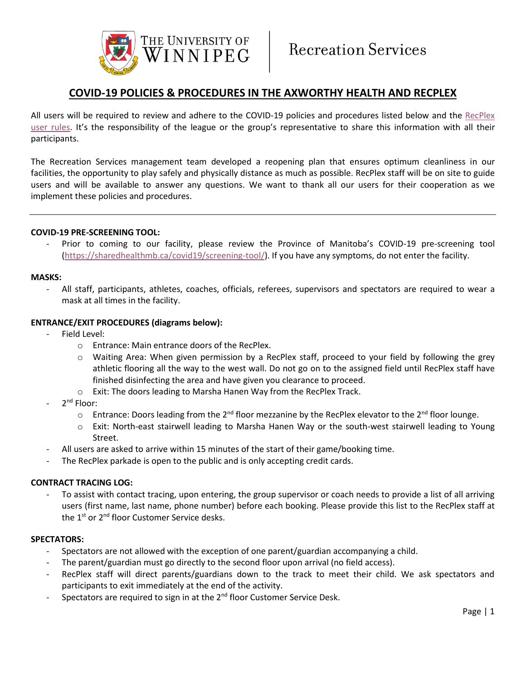

## **COVID-19 POLICIES & PROCEDURES IN THE AXWORTHY HEALTH AND RECPLEX**

All users will be required to review and adhere to the COVID-19 policies and procedures listed below and the RecPlex [user rules](https://www.uwinnipeg.ca/recreation-services/docs/rulesandregulations.pdf). It's the responsibility of the league or the group's representative to share this information with all their participants.

The Recreation Services management team developed a reopening plan that ensures optimum cleanliness in our facilities, the opportunity to play safely and physically distance as much as possible. RecPlex staff will be on site to guide users and will be available to answer any questions. We want to thank all our users for their cooperation as we implement these policies and procedures.

#### **COVID-19 PRE-SCREENING TOOL:**

Prior to coming to our facility, please review the Province of Manitoba's COVID-19 pre-screening tool [\(https://sharedhealthmb.ca/covid19/screening-tool/\)](https://sharedhealthmb.ca/covid19/screening-tool/). If you have any symptoms, do not enter the facility.

#### **MASKS:**

- All staff, participants, athletes, coaches, officials, referees, supervisors and spectators are required to wear a mask at all times in the facility.

#### **ENTRANCE/EXIT PROCEDURES (diagrams below):**

- Field Level:
	- o Entrance: Main entrance doors of the RecPlex.
	- o Waiting Area: When given permission by a RecPlex staff, proceed to your field by following the grey athletic flooring all the way to the west wall. Do not go on to the assigned field until RecPlex staff have finished disinfecting the area and have given you clearance to proceed.
	- o Exit: The doors leading to Marsha Hanen Way from the RecPlex Track.
- 2<sup>nd</sup> Floor:
	- $\circ$  Entrance: Doors leading from the 2<sup>nd</sup> floor mezzanine by the RecPlex elevator to the 2<sup>nd</sup> floor lounge.
	- o Exit: North-east stairwell leading to Marsha Hanen Way or the south-west stairwell leading to Young Street.
	- All users are asked to arrive within 15 minutes of the start of their game/booking time.
- The RecPlex parkade is open to the public and is only accepting credit cards.

#### **CONTRACT TRACING LOG:**

To assist with contact tracing, upon entering, the group supervisor or coach needs to provide a list of all arriving users (first name, last name, phone number) before each booking. Please provide this list to the RecPlex staff at the 1<sup>st</sup> or 2<sup>nd</sup> floor Customer Service desks.

#### **SPECTATORS:**

- Spectators are not allowed with the exception of one parent/guardian accompanying a child.
- The parent/guardian must go directly to the second floor upon arrival (no field access).
- RecPlex staff will direct parents/guardians down to the track to meet their child. We ask spectators and participants to exit immediately at the end of the activity.
- Spectators are required to sign in at the 2<sup>nd</sup> floor Customer Service Desk.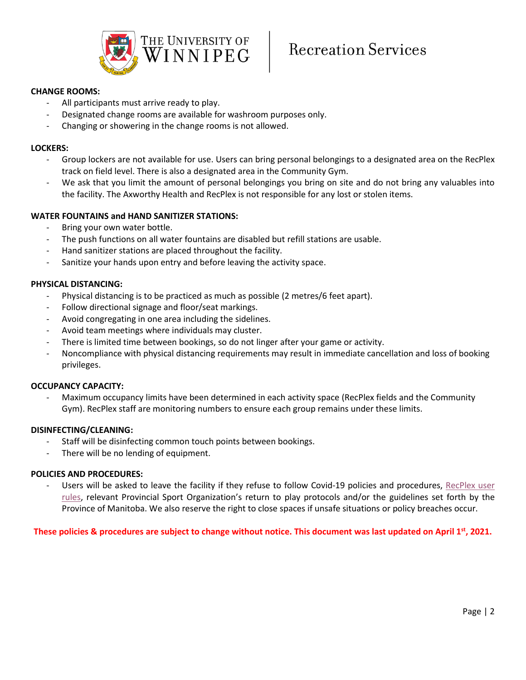

#### **CHANGE ROOMS:**

- All participants must arrive ready to play.
- Designated change rooms are available for washroom purposes only.
- Changing or showering in the change rooms is not allowed.

#### **LOCKERS:**

- Group lockers are not available for use. Users can bring personal belongings to a designated area on the RecPlex track on field level. There is also a designated area in the Community Gym.
- We ask that you limit the amount of personal belongings you bring on site and do not bring any valuables into the facility. The Axworthy Health and RecPlex is not responsible for any lost or stolen items.

#### **WATER FOUNTAINS and HAND SANITIZER STATIONS:**

- Bring your own water bottle.
- The push functions on all water fountains are disabled but refill stations are usable.
- Hand sanitizer stations are placed throughout the facility.
- Sanitize your hands upon entry and before leaving the activity space.

#### **PHYSICAL DISTANCING:**

- Physical distancing is to be practiced as much as possible (2 metres/6 feet apart).
- Follow directional signage and floor/seat markings.
- Avoid congregating in one area including the sidelines.
- Avoid team meetings where individuals may cluster.
- There is limited time between bookings, so do not linger after your game or activity.
- Noncompliance with physical distancing requirements may result in immediate cancellation and loss of booking privileges.

#### **OCCUPANCY CAPACITY:**

Maximum occupancy limits have been determined in each activity space (RecPlex fields and the Community Gym). RecPlex staff are monitoring numbers to ensure each group remains under these limits.

#### **DISINFECTING/CLEANING:**

- Staff will be disinfecting common touch points between bookings.
- There will be no lending of equipment.

#### **POLICIES AND PROCEDURES:**

Users will be asked to leave the facility if they refuse to follow Covid-19 policies and procedures, RecPlex user [rules,](https://www.uwinnipeg.ca/recreation-services/docs/rulesandregulations.pdf) relevant Provincial Sport Organization's return to play protocols and/or the guidelines set forth by the Province of Manitoba. We also reserve the right to close spaces if unsafe situations or policy breaches occur.

**These policies & procedures are subject to change without notice. This document was last updated on April 1st, 2021.**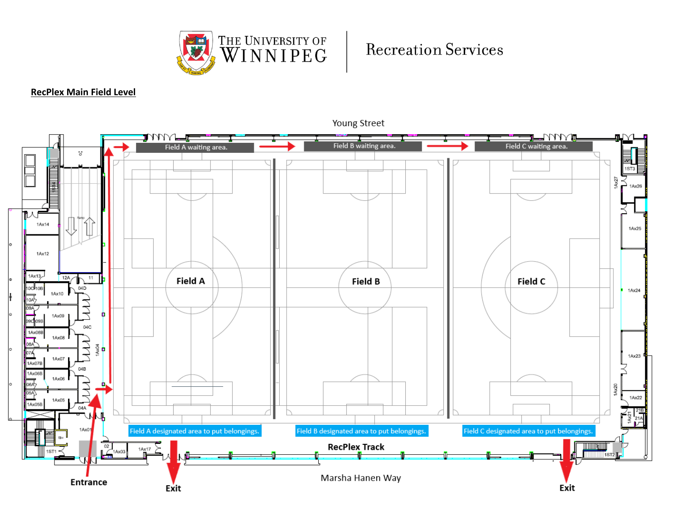

# **Recreation Services**

### **RecPlex Main Field Level**